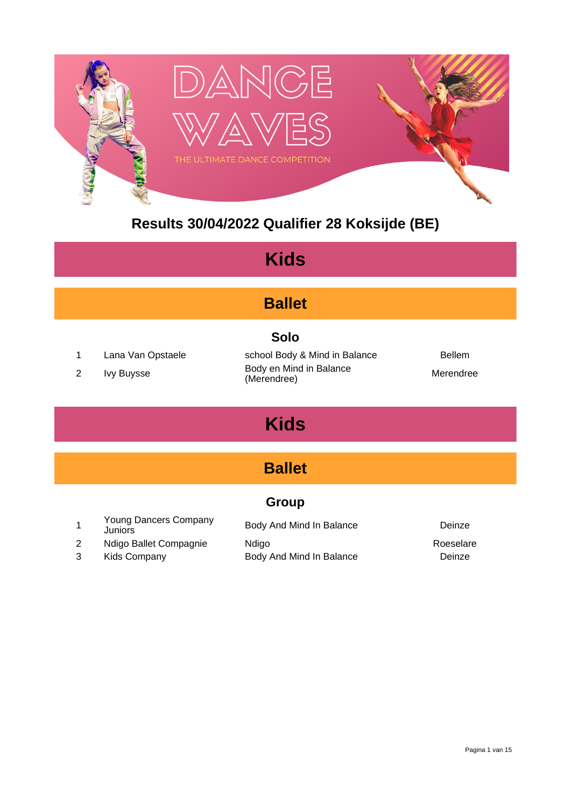

## **Results 30/04/2022 Qualifier 28 Koksijde (BE)**

| <b>Kids</b>                                                                                                                                                              |                                                                            |                                                               |                               |  |
|--------------------------------------------------------------------------------------------------------------------------------------------------------------------------|----------------------------------------------------------------------------|---------------------------------------------------------------|-------------------------------|--|
|                                                                                                                                                                          | <b>Ballet</b>                                                              |                                                               |                               |  |
| <b>Solo</b><br>1<br>school Body & Mind in Balance<br><b>Bellem</b><br>Lana Van Opstaele<br>Body en Mind in Balance<br>2<br><b>Ivy Buysse</b><br>Merendree<br>(Merendree) |                                                                            |                                                               |                               |  |
| <b>Kids</b>                                                                                                                                                              |                                                                            |                                                               |                               |  |
| <b>Ballet</b>                                                                                                                                                            |                                                                            |                                                               |                               |  |
|                                                                                                                                                                          | <b>Group</b>                                                               |                                                               |                               |  |
| 1<br>2<br>3                                                                                                                                                              | Young Dancers Company<br>Juniors<br>Ndigo Ballet Compagnie<br>Kids Company | Body And Mind In Balance<br>Ndigo<br>Body And Mind In Balance | Deinze<br>Roeselare<br>Deinze |  |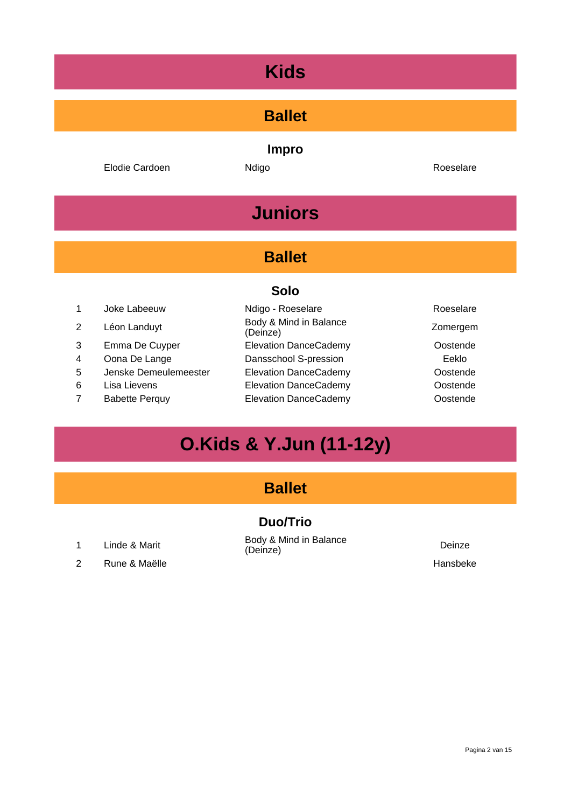# **Ballet Impro** Elodie Cardoen **Ndigo Roeselare** Roeselare **Juniors Ballet Solo** 1 Joke Labeeuw **Ndigo - Roeselare** Roeselare Roeselare <sup>2</sup> Léon Landuyt Body & Mind in Balance (Deinze) Zomergem 3 Emma De Cuyper **Elevation DanceCademy** Costende 4 Oona De Lange **Dansschool S-pression Dansschool S-pression** 5 Jenske Demeulemeester Elevation DanceCademy Oostende 6 Lisa Lievens Elevation DanceCademy Oostende 7 Babette Perquy **Elevation DanceCademy** Oostende

# **O.Kids & Y.Jun (11-12y)**

#### **Ballet**

#### **Duo/Trio**

2 Rune & Maëlle Hansbeke

<sup>1</sup> Linde & Marit Body & Mind in Balance (Deinze) Deinze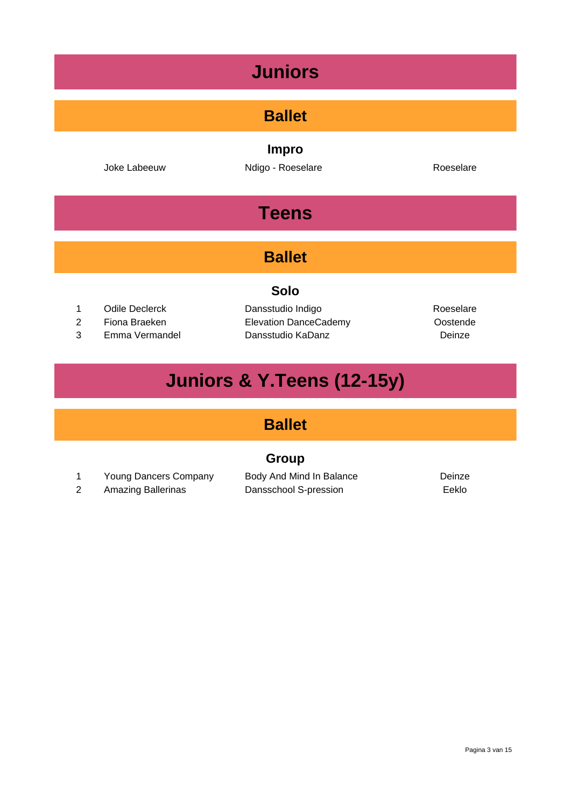# **Juniors Ballet Impro** Joke Labeeuw **Ndigo - Roeselare Roeselare** Roeselare **Teens Ballet Solo** 1 Odile Declerck **Dansstudio Indigo Construction Roeselare** 2 Fiona Braeken Elevation DanceCademy Oostende 3 Emma Vermandel Dansstudio KaDanz Deinze

# **Juniors & Y.Teens (12-15y)**

## **Ballet**

#### **Group**

1 Young Dancers Company Body And Mind In Balance **Deinze** 

2 Amazing Ballerinas Dansschool S-pression Eeklo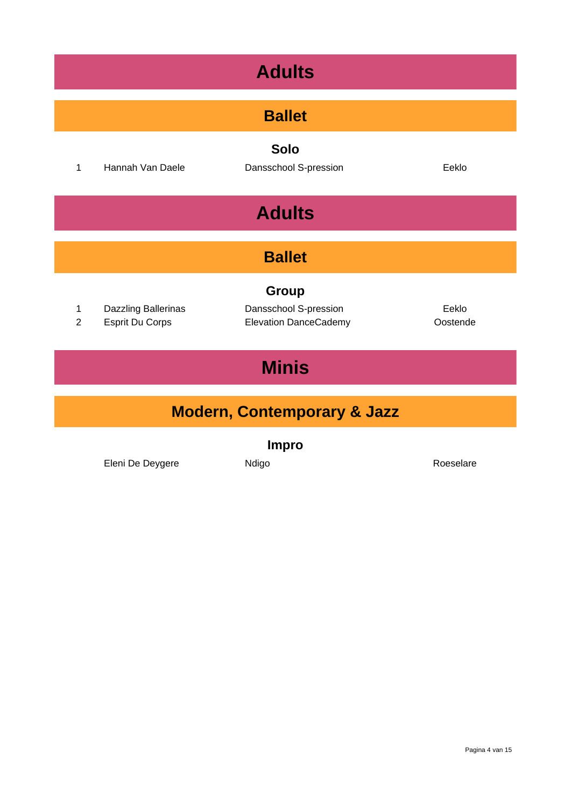| <b>Adults</b>                 |                                               |                                                                |                   |  |  |
|-------------------------------|-----------------------------------------------|----------------------------------------------------------------|-------------------|--|--|
|                               | <b>Ballet</b>                                 |                                                                |                   |  |  |
| $\mathbf{1}$                  | Hannah Van Daele                              | <b>Solo</b><br>Dansschool S-pression                           | Eeklo             |  |  |
| <b>Adults</b>                 |                                               |                                                                |                   |  |  |
| <b>Ballet</b>                 |                                               |                                                                |                   |  |  |
| $\mathbf 1$<br>$\overline{2}$ | Dazzling Ballerinas<br><b>Esprit Du Corps</b> | Group<br>Dansschool S-pression<br><b>Elevation DanceCademy</b> | Eeklo<br>Oostende |  |  |
| <b>Minis</b>                  |                                               |                                                                |                   |  |  |
| Modern, Contemporary & Jazz   |                                               |                                                                |                   |  |  |

**Impro**

Eleni De Deygere **Ndigo** Roeselare Roeselare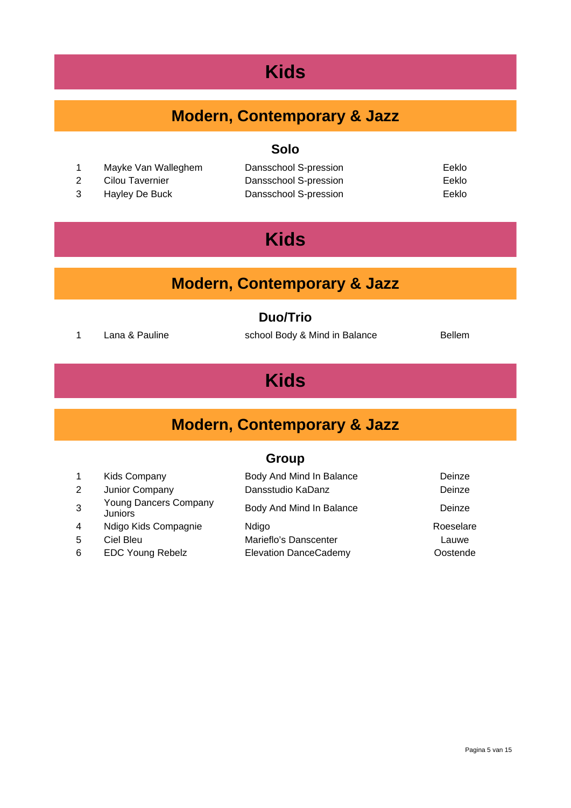## **Modern, Contemporary & Jazz**

#### **Solo**

- 1 Mayke Van Walleghem Dansschool S-pression Eeklo
- 
- 

2 Cilou Tavernier **Dansschool S-pression** Eeklo 3 Hayley De Buck Dansschool S-pression Eeklo

# **Kids**

## **Modern, Contemporary & Jazz**

#### **Duo/Trio**

1 Lana & Pauline School Body & Mind in Balance Bellem

# **Kids**

## **Modern, Contemporary & Jazz**

#### **Group**

|              | Kids Company                            | Body And Mind In Balance     | Deinze    |
|--------------|-----------------------------------------|------------------------------|-----------|
| 2            | Junior Company                          | Dansstudio KaDanz            | Deinze    |
| $\mathbf{3}$ | <b>Young Dancers Company</b><br>Juniors | Body And Mind In Balance     | Deinze    |
| 4            | Ndigo Kids Compagnie                    | Ndigo                        | Roeselare |
| 5            | Ciel Bleu                               | Marieflo's Danscenter        | Lauwe     |
| 6            | <b>EDC Young Rebelz</b>                 | <b>Elevation DanceCademy</b> | Oostende  |
|              |                                         |                              |           |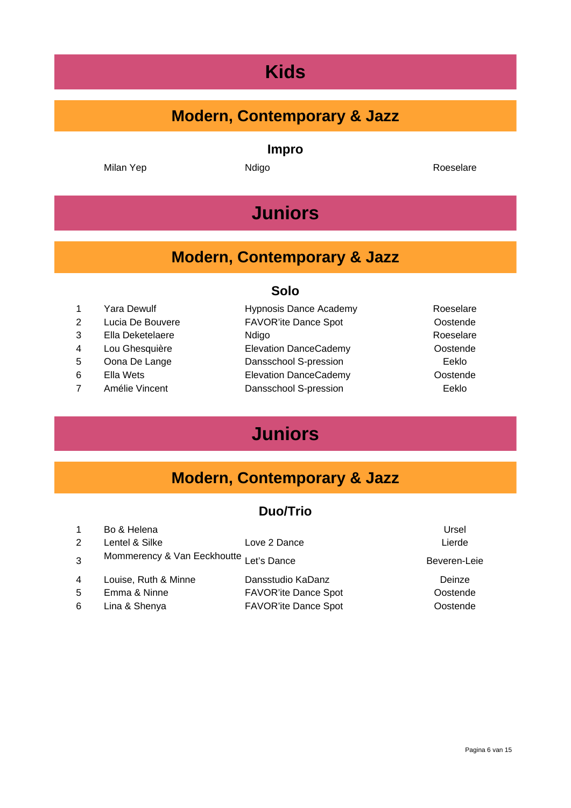## **Modern, Contemporary & Jazz**

**Impro**

Milan Yep **Ndigo** Ndigo Roeselare

# **Juniors**

## **Modern, Contemporary & Jazz**

#### **Solo**

| $\mathbf{1}$   | Yara Dewulf      | <b>Hypnosis Dance Academy</b> | Roeselare |
|----------------|------------------|-------------------------------|-----------|
| $\overline{2}$ | Lucia De Bouvere | <b>FAVOR'ite Dance Spot</b>   | Oostende  |
| 3              | Ella Deketelaere | Ndigo                         | Roeselare |
| 4              | Lou Ghesquière   | <b>Elevation DanceCademy</b>  | Oostende  |
| 5              | Oona De Lange    | Dansschool S-pression         | Eeklo     |
| 6              | Ella Wets        | <b>Elevation DanceCademy</b>  | Oostende  |
| $\overline{7}$ | Amélie Vincent   | Dansschool S-pression         | Eeklo     |
|                |                  |                               |           |

# **Juniors**

## **Modern, Contemporary & Jazz**

#### **Duo/Trio**

| $\overline{1}$ | Bo & Helena                             |                             | Ursel        |
|----------------|-----------------------------------------|-----------------------------|--------------|
| 2              | Lentel & Silke                          | Love 2 Dance                | Lierde       |
| 3              | Mommerency & Van Eeckhoutte Let's Dance |                             | Beveren-Leie |
| $\overline{4}$ | Louise, Ruth & Minne                    | Dansstudio KaDanz           | Deinze       |
| 5              | Emma & Ninne                            | <b>FAVOR'ite Dance Spot</b> | Oostende     |
| 6              | Lina & Shenya                           | <b>FAVOR'ite Dance Spot</b> | Oostende     |
|                |                                         |                             |              |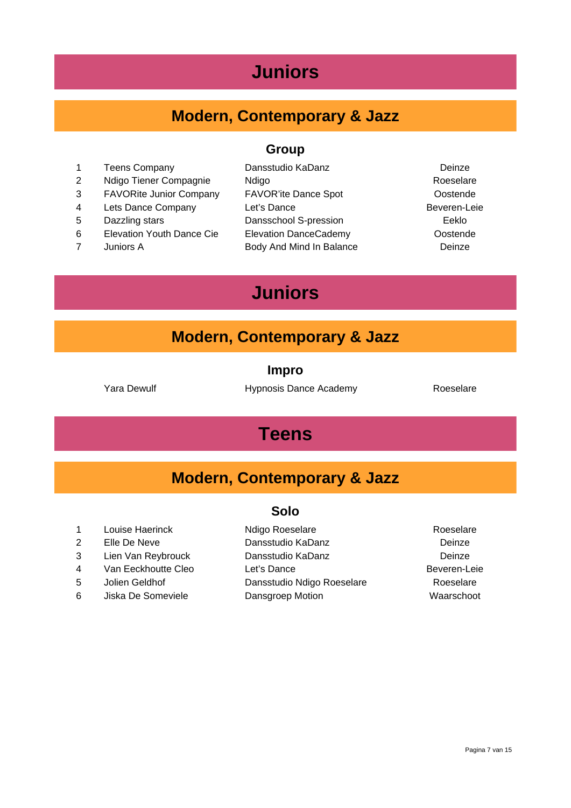## **Juniors**

## **Modern, Contemporary & Jazz**

#### **Group**

- 1 Teens Company **Dansstudio KaDanz** Deinze
- 
- 
- 
- 
- 
- 
- 2 Ndigo Tiener Compagnie Ndigo Roeselare 3 FAVORite Junior Company FAVOR'ite Dance Spot Oostende 4 Lets Dance Company Let's Dance **Beveren-Leie** 5 Dazzling stars Dansschool S-pression Eeklo 6 Elevation Youth Dance Cie Elevation DanceCademy Oostende 7 Juniors A Body And Mind In Balance Deinze
- 

## **Juniors**

#### **Modern, Contemporary & Jazz**

**Impro**

Yara Dewulf **Hypnosis Dance Academy** Roeselare

## **Teens**

#### **Modern, Contemporary & Jazz**

#### **Solo**

- 
- 
- 
- 
- 
- 6 Jiska De Someviele Dansgroep Motion Waarschoot

1 Louise Haerinck Ndigo Roeselare Roeselare Roeselare 2 Elle De Neve Dansstudio KaDanz Deinze 3 Lien Van Reybrouck Dansstudio KaDanz Deinze 4 Van Eeckhoutte Cleo Let's Dance Contract Cleo Let's Dance 5 Jolien Geldhof Dansstudio Ndigo Roeselare Roeselare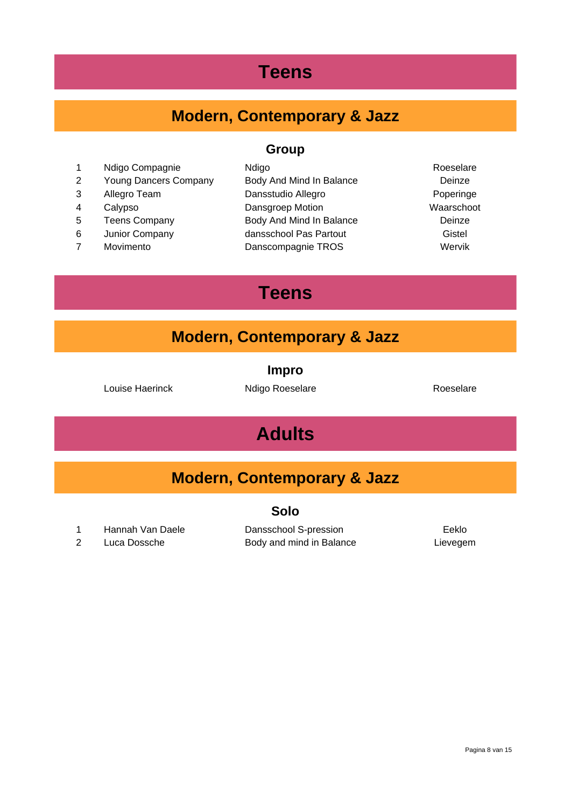## **Teens**

# **Modern, Contemporary & Jazz**

#### **Group**

| $\mathbf 1$    | Ndigo Compagnie              | Ndigo                    | Roeselare  |
|----------------|------------------------------|--------------------------|------------|
| 2              | <b>Young Dancers Company</b> | Body And Mind In Balance | Deinze     |
| 3              | Allegro Team                 | Dansstudio Allegro       | Poperinge  |
| 4              | Calypso                      | Dansgroep Motion         | Waarschoot |
| 5              | <b>Teens Company</b>         | Body And Mind In Balance | Deinze     |
| 6              | Junior Company               | dansschool Pas Partout   | Gistel     |
| $\overline{7}$ | Movimento                    | Danscompagnie TROS       | Wervik     |
|                |                              |                          |            |

# **Teens**

## **Modern, Contemporary & Jazz**

| ш<br>I |  |
|--------|--|
|        |  |

Louise Haerinck **Ndigo Roeselare** Roeselare Roeselare

# **Adults**

|  | <b>Modern, Contemporary &amp; Jazz</b> |  |  |  |
|--|----------------------------------------|--|--|--|
|--|----------------------------------------|--|--|--|

#### **Solo**

1 Hannah Van Daele Dansschool S-pression Eeklo

2 Luca Dossche Body and mind in Balance Lievegem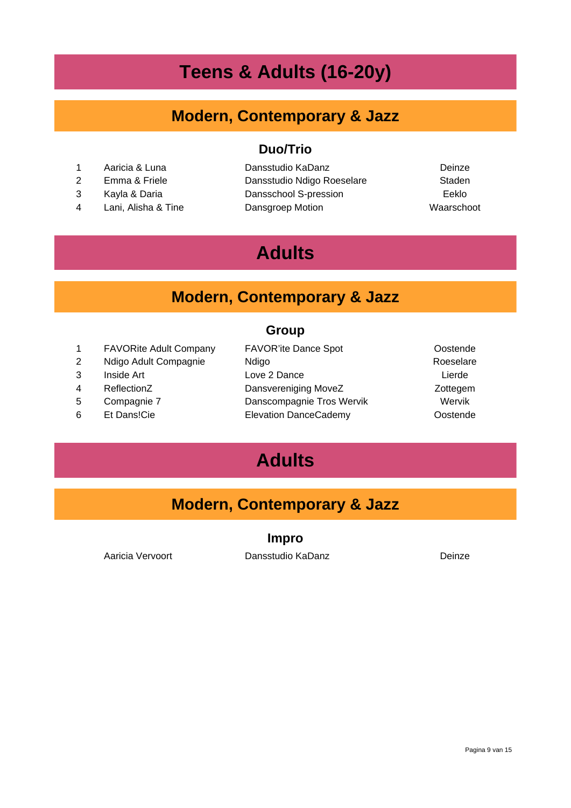# **Teens & Adults (16-20y)**

### **Modern, Contemporary & Jazz**

**Duo/Trio**

- 
- 
- 
- 

 Aaricia & Luna Dansstudio KaDanz Deinze 2 Emma & Friele **Dansstudio Ndigo Roeselare** Staden Kayla & Daria Dansschool S-pression Eeklo Lani, Alisha & Tine Dansgroep Motion Waarschoot

# **Adults**

## **Modern, Contemporary & Jazz**

#### **Group**

| 1 | <b>FAVORite Adult Company</b> | <b>FAVOR'ite Dance Spot</b>  | Oostende  |
|---|-------------------------------|------------------------------|-----------|
| 2 | Ndigo Adult Compagnie         | Ndigo                        | Roeselare |
| 3 | Inside Art                    | Love 2 Dance                 | Lierde    |
| 4 | ReflectionZ                   | Dansvereniging MoveZ         | Zottegem  |
| 5 | Compagnie 7                   | Danscompagnie Tros Wervik    | Wervik    |
| 6 | Et Dans!Cie                   | <b>Elevation DanceCademy</b> | Oostende  |
|   |                               |                              |           |

# **Adults**

## **Modern, Contemporary & Jazz**

#### **Impro**

Aaricia Vervoort Dansstudio KaDanz Deinze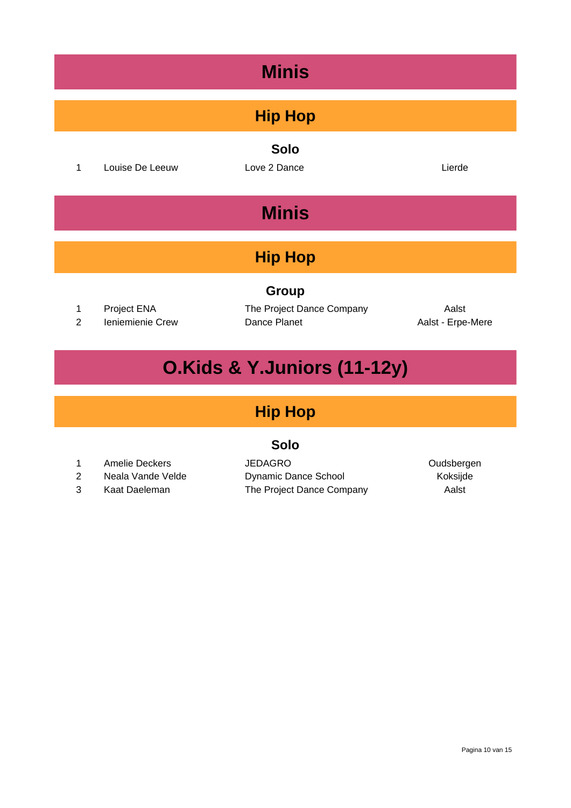# **Minis Hip Hop Solo** 1 Louise De Leeuw Love 2 Dance **Lierde** Lierde **Minis Hip Hop Group** 1 Project ENA The Project Dance Company Aalst 2 Ieniemienie Crew Dance Planet Aalst - Erpe-Mere

# **O.Kids & Y.Juniors (11-12y)**

## **Hip Hop**

#### **Solo**

- 
- 
- 

1 Amelie Deckers **JEDAGRO Oudsbergen** 2 Neala Vande Velde Dynamic Dance School Koksijde 3 Kaat Daeleman The Project Dance Company Aalst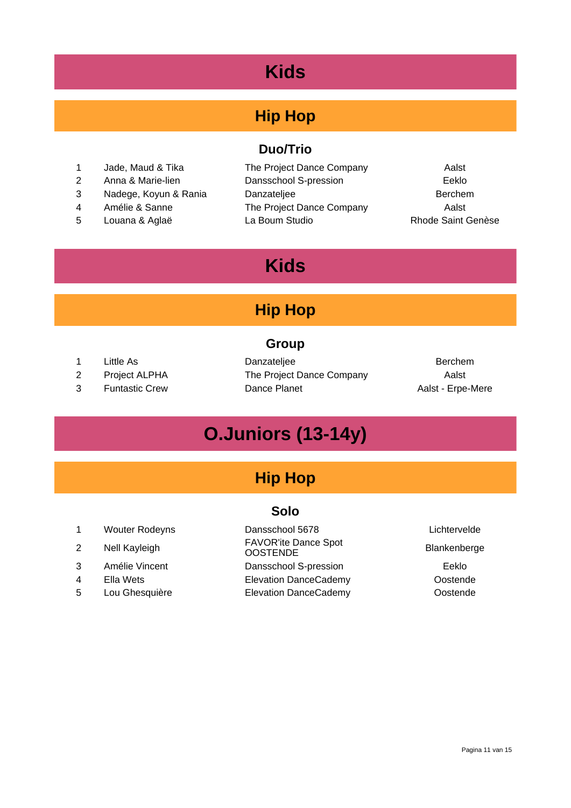## **Hip Hop**

#### **Duo/Trio**

- 1 Jade, Maud & Tika The Project Dance Company Aalst
- 
- 
- 
- 

2 Anna & Marie-lien Dansschool S-pression Eeklo 3 Nadege, Koyun & Rania Danzateljee Berchem 4 Amélie & Sanne The Project Dance Company Aalst 5 Louana & Aglaë La Boum Studio Rhode Saint Genèse

## **Kids**

## **Hip Hop**

#### **Group**

- 
- 
- 

1 Little As **Danzateljee** Berchem 2 Project ALPHA The Project Dance Company Aalst 3 Funtastic Crew Dance Planet **Dance Planet** Aalst - Erpe-Mere

# **O.Juniors (13-14y)**

## **Hip Hop**

#### **Solo**

|                | <b>Wouter Rodeyns</b> | Dansschool 5678                                | Lichtervelde |
|----------------|-----------------------|------------------------------------------------|--------------|
| 2              | Nell Kayleigh         | <b>FAVOR'ite Dance Spot</b><br><b>OOSTENDE</b> | Blankenberge |
| 3              | Amélie Vincent        | Dansschool S-pression                          | Eeklo        |
| $\overline{4}$ | Ella Wets             | <b>Elevation DanceCademy</b>                   | Oostende     |
| 5              | Lou Ghesquière        | <b>Elevation DanceCademy</b>                   | Oostende     |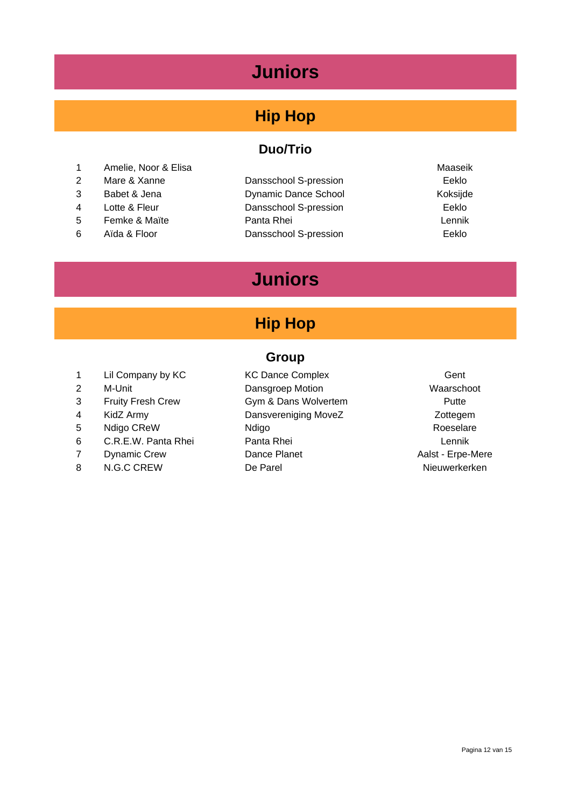## **Juniors**

## **Hip Hop**

#### **Duo/Trio**

- 1 Amelie, Noor & Elisa Maaseik and American Maaseik and American Maaseik and American Maaseik and Maaseik and Ma
- 
- 
- 
- 
- 
- 2 Mare & Xanne Dansschool S-pression Eeklo 3 Babet & Jena Dynamic Dance School Koksijde 4 Lotte & Fleur **Dansschool S-pression** Eeklo 5 Femke & Maïte Panta Rhei Lennik 6 Aïda & Floor Dansschool S-pression Eeklo
- 

## **Juniors**

## **Hip Hop**

#### **Group**

- 1 Lil Company by KC **COMPANY** KC Dance Complex **COMPANY** Gent
- 
- 
- 
- 
- 
- 
- 

2 M-Unit **Dansgroep Motion Dansgroep Motion** 3 Fruity Fresh Crew Gym & Dans Wolvertem Putte 4 KidZ Army **Dansvereniging MoveZ** Zottegem 5 Ndigo CReW Ndigo Ndigo Roeselare 6 C.R.E.W. Panta Rhei Panta Rhei Lennik 7 Dynamic Crew Dance Planet Dance Planet Aalst - Erpe-Mere 8 N.G.C CREW De Parel Nieuwerkerken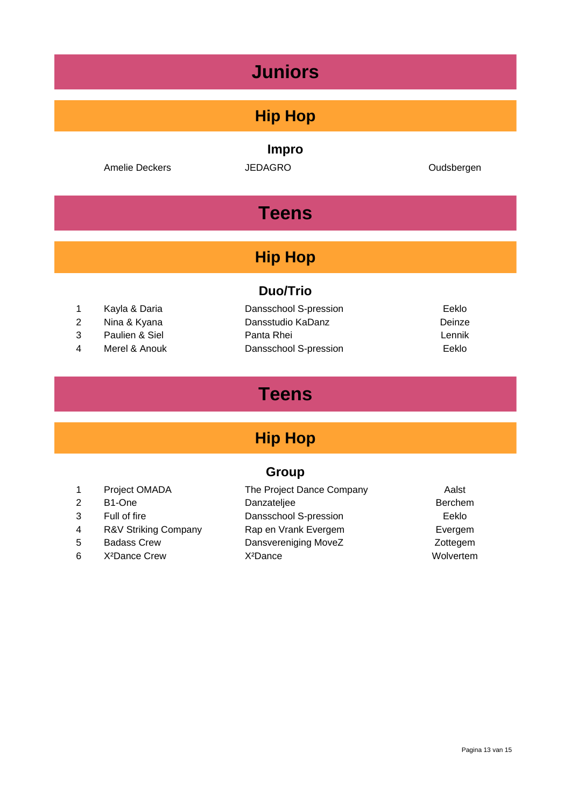| <b>Juniors</b>                |                                                                  |                                                                                   |                                    |  |
|-------------------------------|------------------------------------------------------------------|-----------------------------------------------------------------------------------|------------------------------------|--|
|                               |                                                                  | <b>Hip Hop</b>                                                                    |                                    |  |
|                               | <b>Amelie Deckers</b>                                            | <b>Impro</b><br><b>JEDAGRO</b>                                                    | Oudsbergen                         |  |
|                               |                                                                  | <b>Teens</b>                                                                      |                                    |  |
| <b>Hip Hop</b>                |                                                                  |                                                                                   |                                    |  |
| <b>Duo/Trio</b>               |                                                                  |                                                                                   |                                    |  |
| 1<br>$\overline{2}$<br>3<br>4 | Kayla & Daria<br>Nina & Kyana<br>Paulien & Siel<br>Merel & Anouk | Dansschool S-pression<br>Dansstudio KaDanz<br>Panta Rhei<br>Dansschool S-pression | Eeklo<br>Deinze<br>Lennik<br>Eeklo |  |

# **Teens**

# **Hip Hop**

## **Group**

|   | Project OMADA             | The Project Dance Company | Aalst          |
|---|---------------------------|---------------------------|----------------|
| 2 | B <sub>1</sub> -One       | Danzateljee               | <b>Berchem</b> |
| 3 | Full of fire              | Dansschool S-pression     | Eeklo          |
| 4 | R&V Striking Company      | Rap en Vrank Evergem      | Evergem        |
| 5 | <b>Badass Crew</b>        | Dansvereniging MoveZ      | Zottegem       |
| 6 | X <sup>2</sup> Dance Crew | X <sup>2</sup> Dance      | Wolvertem      |
|   |                           |                           |                |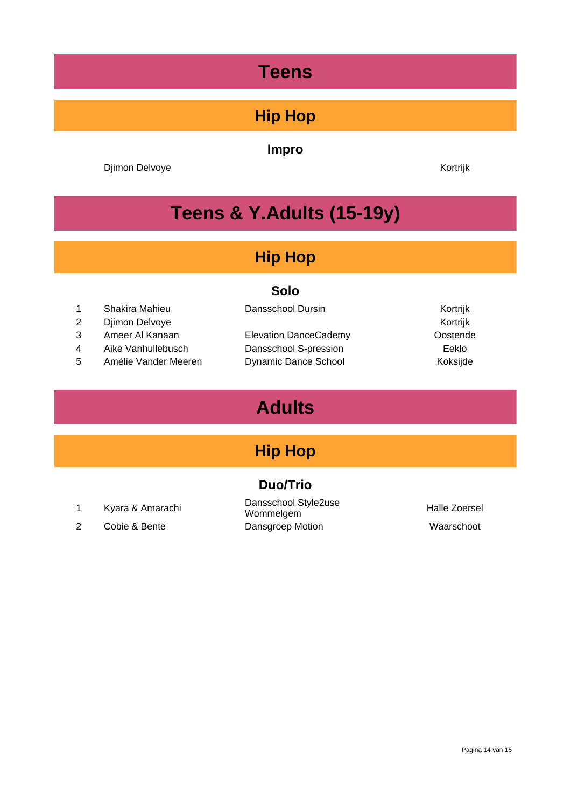# **Teens**

## **Hip Hop**

#### **Impro**

Djimon Delvoye **Kortrijk** 

# **Teens & Y.Adults (15-19y)**

## **Hip Hop**

#### **Solo**

- 1 Shakira Mahieu **Dansschool Dursin** Mahieu Kortrijk
- 2 Djimon Delvoye **Kortrijk**
- 3 Ameer Al Kanaan Elevation DanceCademy Oostende
- 4 Aike Vanhullebusch Dansschool S-pression Eeklo
- 5 Amélie Vander Meeren Dynamic Dance School Koksijde

## **Adults**

## **Hip Hop**

#### **Duo/Trio**

- 
- 2 Cobie & Bente **Dansgroep Motion Dansgroep Motion** Waarschoot

<sup>1</sup> Kyara & Amarachi Dansschool Style2use Dansschool Stylezuse<br>Wommelgem Mommelgem